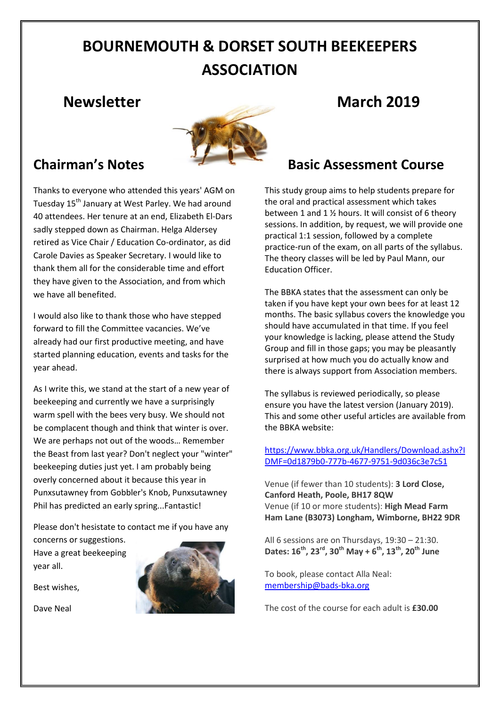# **BOURNEMOUTH & DORSET SOUTH BEEKEEPERS ASSOCIATION**

### **Newsletter March 2019**



## **Chairman's Notes**

Thanks to everyone who attended this years' AGM on Tuesday 15<sup>th</sup> January at West Parley. We had around 40 attendees. Her tenure at an end, Elizabeth El-Dars sadly stepped down as Chairman. Helga Aldersey retired as Vice Chair / Education Co-ordinator, as did Carole Davies as Speaker Secretary. I would like to thank them all for the considerable time and effort they have given to the Association, and from which we have all benefited.

I would also like to thank those who have stepped forward to fill the Committee vacancies. We've already had our first productive meeting, and have started planning education, events and tasks for the year ahead.

As I write this, we stand at the start of a new year of beekeeping and currently we have a surprisingly warm spell with the bees very busy. We should not be complacent though and think that winter is over. We are perhaps not out of the woods… Remember the Beast from last year? Don't neglect your "winter" beekeeping duties just yet. I am probably being overly concerned about it because this year in Punxsutawney from Gobbler's Knob, Punxsutawney Phil has predicted an early spring...Fantastic!

Please don't hesistate to contact me if you have any concerns or suggestions.

Have a great beekeeping year all.

Best wishes,

Dave Neal



### **Basic Assessment Course**

This study group aims to help students prepare for the oral and practical assessment which takes between 1 and 1 ½ hours. It will consist of 6 theory sessions. In addition, by request, we will provide one practical 1:1 session, followed by a complete practice-run of the exam, on all parts of the syllabus. The theory classes will be led by Paul Mann, our Education Officer.

The BBKA states that the assessment can only be taken if you have kept your own bees for at least 12 months. The basic syllabus covers the knowledge you should have accumulated in that time. If you feel your knowledge is lacking, please attend the Study Group and fill in those gaps; you may be pleasantly surprised at how much you do actually know and there is always support from Association members.

The syllabus is reviewed periodically, so please ensure you have the latest version (January 2019). This and some other useful articles are available from the BBKA website:

[https://www.bbka.org.uk/Handlers/Download.ashx?I](https://www.bbka.org.uk/Handlers/Download.ashx?IDMF=0d1879b0-777b-4677-9751-9d036c3e7c51) [DMF=0d1879b0-777b-4677-9751-9d036c3e7c51](https://www.bbka.org.uk/Handlers/Download.ashx?IDMF=0d1879b0-777b-4677-9751-9d036c3e7c51)

Venue (if fewer than 10 students): **3 Lord Close, Canford Heath, Poole, BH17 8QW** Venue (if 10 or more students): **High Mead Farm Ham Lane (B3073) Longham, Wimborne, BH22 9DR**

All 6 sessions are on Thursdays, 19:30 – 21:30. **Dates: 16th, 23rd, 30th May + 6th, 13th, 20th June**

To book, please contact Alla Neal: [membership@bads-bka.org](mailto:membership@bads-bka.org)

The cost of the course for each adult is **£30.00**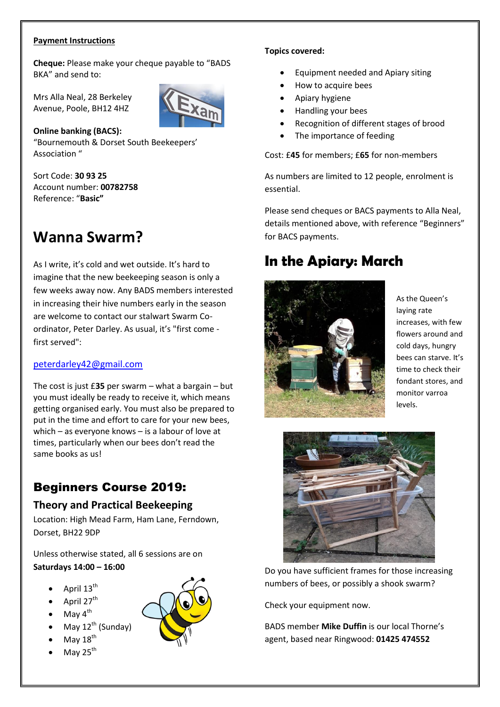#### **Payment Instructions**

**Cheque:** Please make your cheque payable to "BADS BKA" and send to:

Mrs Alla Neal, 28 Berkeley Avenue, Poole, BH12 4HZ



**Online banking (BACS):** "Bournemouth & Dorset South Beekeepers' Association "

Sort Code: **30 93 25** Account number: **00782758** Reference: "**Basic"**

## **Wanna Swarm?**

As I write, it's cold and wet outside. It's hard to imagine that the new beekeeping season is only a few weeks away now. Any BADS members interested in increasing their hive numbers early in the season are welcome to contact our stalwart Swarm Coordinator, Peter Darley. As usual, it's "first come first served":

### [peterdarley42@gmail.com](mailto:peterdarley42@gmail.com)

The cost is just £**35** per swarm – what a bargain – but you must ideally be ready to receive it, which means getting organised early. You must also be prepared to put in the time and effort to care for your new bees, which – as everyone knows – is a labour of love at times, particularly when our bees don't read the same books as us!

### Beginners Course 2019:

### **Theory and Practical Beekeeping**

Location: High Mead Farm, Ham Lane, Ferndown, Dorset, BH22 9DP

Unless otherwise stated, all 6 sessions are on **Saturdays 14:00 – 16:00**

- April 13<sup>th</sup>
- April 27<sup>th</sup>
- $\bullet$  May  $4^{\text{th}}$
- May  $12^{th}$  (Sunday)
- May  $18<sup>th</sup>$
- May  $25<sup>th</sup>$



#### **Topics covered:**

- Equipment needed and Apiary siting
- How to acquire bees
- Apiary hygiene
- Handling your bees
- Recognition of different stages of brood
- The importance of feeding

Cost: £**45** for members; £**65** for non-members

As numbers are limited to 12 people, enrolment is essential.

Please send cheques or BACS payments to Alla Neal, details mentioned above, with reference "Beginners" for BACS payments.

## **In the Apiary: March**



As the Queen's laying rate increases, with few flowers around and cold days, hungry bees can starve. It's time to check their fondant stores, and monitor varroa levels.



Do you have sufficient frames for those increasing numbers of bees, or possibly a shook swarm?

Check your equipment now.

BADS member **Mike Duffin** is our local Thorne's agent, based near Ringwood: **01425 474552**